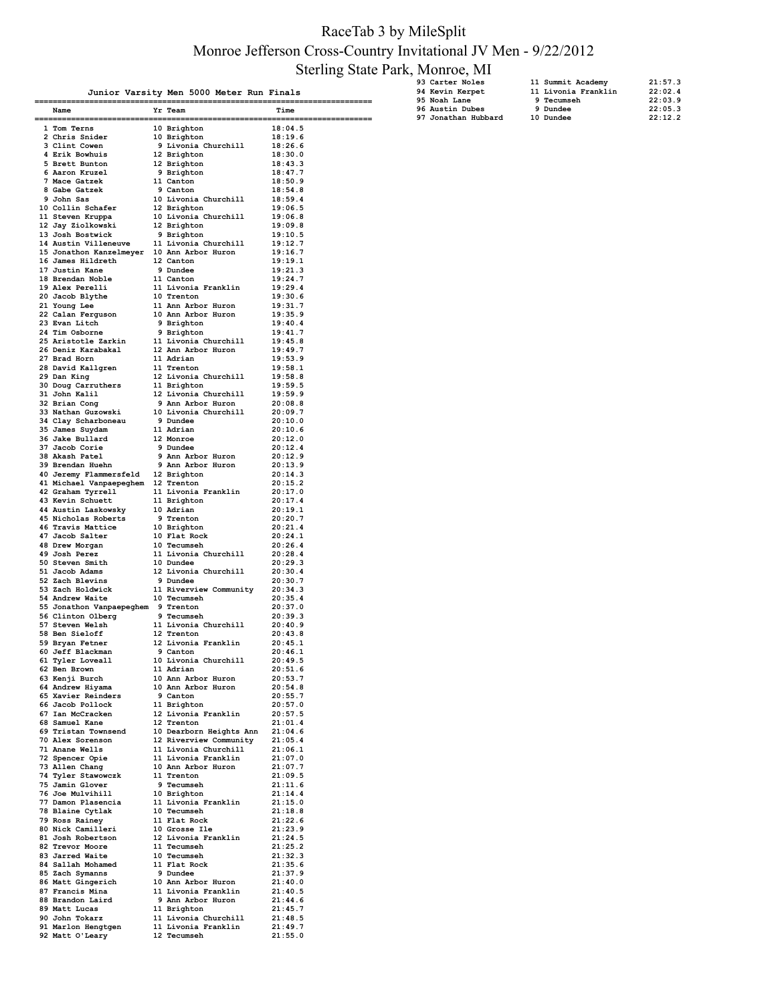## RaceTab 3 by MileSplit Monroe Jefferson Cross-Country Invitational JV Men - 9/22/2012 Sterling State Park, Monroe, MI

|                                                                                                                                                                                                                                                              | Junior Varsity Men 5000 Meter Run Finals |                               |
|--------------------------------------------------------------------------------------------------------------------------------------------------------------------------------------------------------------------------------------------------------------|------------------------------------------|-------------------------------|
| Name                                                                                                                                                                                                                                                         | Yr Team                                  | . = = = = = = = = = =<br>Time |
| 1 Tom Terns                                                                                                                                                                                                                                                  | ---<br>10 Brighton                       | -----------                   |
| 10 Brighton 18:04.5<br>10 Brighton 18:04.5<br>2 Chris Snider 10 Brighton 18:19.6<br>3 Clint Cown 9 Livonia Churchill 18:26.6<br>4 Erik Bowhuis 12 Brighton 18:30.0<br>5 Brett Bunton 12 Brighton 18:43.3<br>6 Aaron Kruzel 9 Brighton 18:5                   |                                          |                               |
|                                                                                                                                                                                                                                                              |                                          |                               |
|                                                                                                                                                                                                                                                              |                                          |                               |
|                                                                                                                                                                                                                                                              |                                          |                               |
|                                                                                                                                                                                                                                                              |                                          |                               |
|                                                                                                                                                                                                                                                              |                                          |                               |
|                                                                                                                                                                                                                                                              |                                          |                               |
|                                                                                                                                                                                                                                                              |                                          |                               |
|                                                                                                                                                                                                                                                              |                                          |                               |
| 14 Austin Villenuve 11 Livonia Churchill 19:12.7<br>15 Jonathon Kanzelmeyer 10 Ann Arbor Huron 19:16.7<br>16 James Hildreth 12 Canton 19:19.1<br>16 American Noble 11 Livonia Franklin 19:29.4.7<br>18 Brendan Noble 11 Livonia Franklin                     |                                          |                               |
|                                                                                                                                                                                                                                                              |                                          |                               |
|                                                                                                                                                                                                                                                              |                                          |                               |
|                                                                                                                                                                                                                                                              |                                          |                               |
|                                                                                                                                                                                                                                                              |                                          |                               |
|                                                                                                                                                                                                                                                              |                                          |                               |
|                                                                                                                                                                                                                                                              |                                          |                               |
|                                                                                                                                                                                                                                                              |                                          |                               |
|                                                                                                                                                                                                                                                              |                                          |                               |
|                                                                                                                                                                                                                                                              |                                          |                               |
|                                                                                                                                                                                                                                                              |                                          |                               |
|                                                                                                                                                                                                                                                              |                                          |                               |
|                                                                                                                                                                                                                                                              |                                          |                               |
|                                                                                                                                                                                                                                                              |                                          |                               |
|                                                                                                                                                                                                                                                              |                                          |                               |
|                                                                                                                                                                                                                                                              |                                          |                               |
|                                                                                                                                                                                                                                                              |                                          |                               |
| 41 Michael Vanpaepeghem 12 Trenton<br>42 Graham Tyrrell 11 Livonia Franklin<br>43 Kevin Schuett 11 Erighton<br>44 Austin Laskowsky 10 Adrian<br>46 Nicholas Roberts 9 Trenton<br>46 Travis Mattice 10 Brighton<br>47 Jacob Salter 10 Flat                    |                                          | 20:17.0                       |
|                                                                                                                                                                                                                                                              |                                          | 20:17.4                       |
|                                                                                                                                                                                                                                                              |                                          | 20:19.1<br>20:20.7            |
|                                                                                                                                                                                                                                                              |                                          | 20:21.4                       |
|                                                                                                                                                                                                                                                              |                                          | 20:24.1<br>20:26.4            |
|                                                                                                                                                                                                                                                              |                                          | 20:28.4                       |
|                                                                                                                                                                                                                                                              |                                          | 20:29.3<br>20:30.4            |
|                                                                                                                                                                                                                                                              |                                          | 20:30.7                       |
|                                                                                                                                                                                                                                                              |                                          | 20:34.3<br>20:35.4            |
| 55 Jonathon Vanpaepeghem 9 Trenton                                                                                                                                                                                                                           |                                          | 20:37.0                       |
| 56 Clinton Olberg and Technology of Technology 20:39.3<br>57 Steven Welsh 11 Livonia Churchill 20:40.9<br>58 Ben Sieloff 12 Trenton 20:43.8<br>59 Bryan Fetner 12 Livonia Franklin 20:43.8                                                                   |                                          |                               |
|                                                                                                                                                                                                                                                              | 12 Trenton<br>12 Livonia Franklin        |                               |
|                                                                                                                                                                                                                                                              |                                          |                               |
|                                                                                                                                                                                                                                                              |                                          |                               |
|                                                                                                                                                                                                                                                              |                                          |                               |
|                                                                                                                                                                                                                                                              |                                          |                               |
|                                                                                                                                                                                                                                                              |                                          |                               |
|                                                                                                                                                                                                                                                              |                                          |                               |
|                                                                                                                                                                                                                                                              |                                          |                               |
|                                                                                                                                                                                                                                                              |                                          |                               |
|                                                                                                                                                                                                                                                              |                                          |                               |
|                                                                                                                                                                                                                                                              |                                          |                               |
|                                                                                                                                                                                                                                                              |                                          |                               |
|                                                                                                                                                                                                                                                              |                                          |                               |
|                                                                                                                                                                                                                                                              |                                          |                               |
|                                                                                                                                                                                                                                                              |                                          |                               |
|                                                                                                                                                                                                                                                              |                                          |                               |
|                                                                                                                                                                                                                                                              |                                          |                               |
|                                                                                                                                                                                                                                                              |                                          |                               |
|                                                                                                                                                                                                                                                              |                                          |                               |
|                                                                                                                                                                                                                                                              |                                          |                               |
|                                                                                                                                                                                                                                                              |                                          |                               |
|                                                                                                                                                                                                                                                              |                                          |                               |
| 57 Steven Weish (11 Livonia Churchill 20140.)<br>58 Ben Sieloff (11 Livonia Churchill 20145.1<br>60 Jeff Blackman 9 Ganton 20146.1<br>60 Jeff Blackman 9 Ganton 201516.<br>62 Den Brown 11 Adrian<br>62 Den Brown 11 Adrian<br>62 Ben Bro<br>92 Matt O'Leary | 12 Tecumseh                              |                               |
|                                                                                                                                                                                                                                                              |                                          |                               |

| 111011100, 1111 |                     |  |                     |         |  |  |
|-----------------|---------------------|--|---------------------|---------|--|--|
| 93 Carter Noles |                     |  | 11 Summit Academy   | 21:57.3 |  |  |
| 94 Kevin Kerpet |                     |  | 11 Livonia Franklin | 22:02.4 |  |  |
| 95 Noah Lane    |                     |  | 9 Tecumseh          | 22:03.9 |  |  |
| 96 Austin Dubes |                     |  | 9 Dundee            | 22:05.3 |  |  |
|                 | 97 Jonathan Hubbard |  | 10 Dundee           | 22:12.2 |  |  |